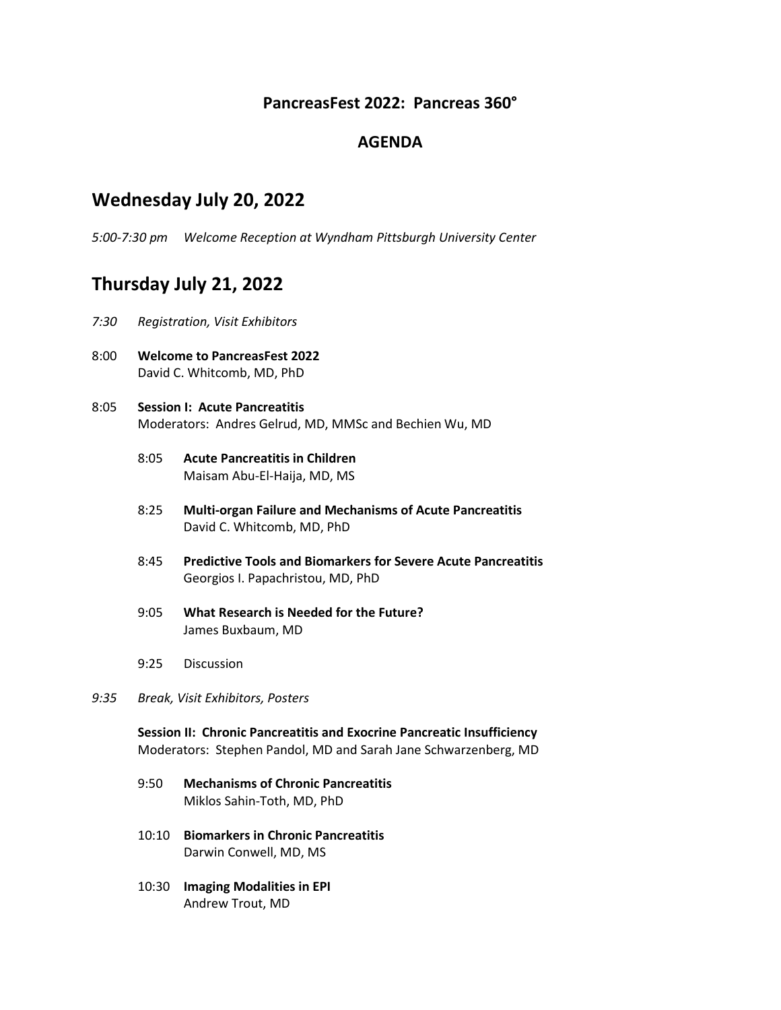## **PancreasFest 2022: Pancreas 360°**

### **AGENDA**

## **Wednesday July 20, 2022**

*5:00-7:30 pm Welcome Reception at Wyndham Pittsburgh University Center*

# **Thursday July 21, 2022**

- *7:30 Registration, Visit Exhibitors*
- 8:00 **Welcome to PancreasFest 2022** David C. Whitcomb, MD, PhD
- 8:05 **Session I: Acute Pancreatitis** Moderators: Andres Gelrud, MD, MMSc and Bechien Wu, MD
	- 8:05 **Acute Pancreatitis in Children** Maisam Abu-El-Haija, MD, MS
	- 8:25 **Multi-organ Failure and Mechanisms of Acute Pancreatitis** David C. Whitcomb, MD, PhD
	- 8:45 **Predictive Tools and Biomarkers for Severe Acute Pancreatitis** Georgios I. Papachristou, MD, PhD
	- 9:05 **What Research is Needed for the Future?** James Buxbaum, MD
	- 9:25 Discussion
- *9:35 Break, Visit Exhibitors, Posters*

**Session II: Chronic Pancreatitis and Exocrine Pancreatic Insufficiency** Moderators: Stephen Pandol, MD and Sarah Jane Schwarzenberg, MD

- 9:50 **Mechanisms of Chronic Pancreatitis** Miklos Sahin-Toth, MD, PhD
- 10:10 **Biomarkers in Chronic Pancreatitis** Darwin Conwell, MD, MS
- 10:30 **Imaging Modalities in EPI** Andrew Trout, MD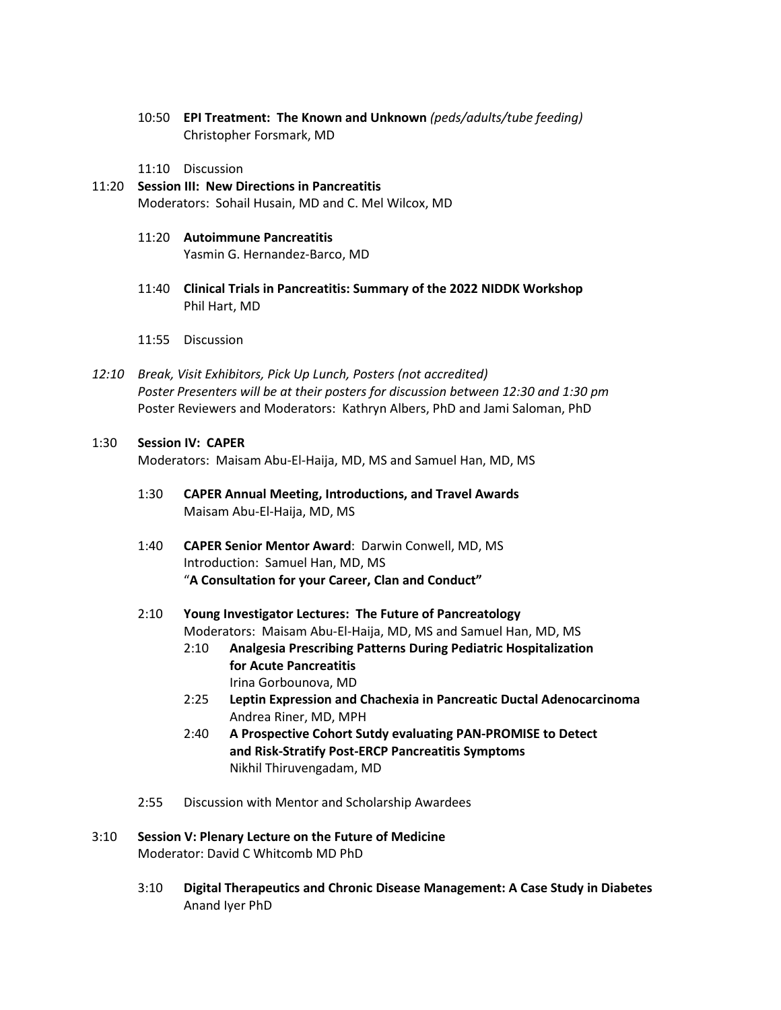10:50 **EPI Treatment: The Known and Unknown** *(peds/adults/tube feeding)* Christopher Forsmark, MD

11:10 Discussion

- 11:20 **Session III: New Directions in Pancreatitis** Moderators: Sohail Husain, MD and C. Mel Wilcox, MD
	- 11:20 **Autoimmune Pancreatitis** Yasmin G. Hernandez-Barco, MD
	- 11:40 **Clinical Trials in Pancreatitis: Summary of the 2022 NIDDK Workshop** Phil Hart, MD
	- 11:55 Discussion
- *12:10 Break, Visit Exhibitors, Pick Up Lunch, Posters (not accredited) Poster Presenters will be at their posters for discussion between 12:30 and 1:30 pm* Poster Reviewers and Moderators: Kathryn Albers, PhD and Jami Saloman, PhD

#### 1:30 **Session IV: CAPER**

Moderators: Maisam Abu-El-Haija, MD, MS and Samuel Han, MD, MS

- 1:30 **CAPER Annual Meeting, Introductions, and Travel Awards** Maisam Abu-El-Haija, MD, MS
- 1:40 **CAPER Senior Mentor Award**: Darwin Conwell, MD, MS Introduction: Samuel Han, MD, MS "**A Consultation for your Career, Clan and Conduct"**
- 2:10 **Young Investigator Lectures: The Future of Pancreatology** Moderators: Maisam Abu-El-Haija, MD, MS and Samuel Han, MD, MS
	- 2:10 **Analgesia Prescribing Patterns During Pediatric Hospitalization for Acute Pancreatitis** Irina Gorbounova, MD
	- 2:25 **Leptin Expression and Chachexia in Pancreatic Ductal Adenocarcinoma** Andrea Riner, MD, MPH
	- 2:40 **A Prospective Cohort Sutdy evaluating PAN-PROMISE to Detect and Risk-Stratify Post-ERCP Pancreatitis Symptoms** Nikhil Thiruvengadam, MD
- 2:55 Discussion with Mentor and Scholarship Awardees
- 3:10 **Session V: Plenary Lecture on the Future of Medicine** Moderator: David C Whitcomb MD PhD
	- 3:10 **Digital Therapeutics and Chronic Disease Management: A Case Study in Diabetes** Anand Iyer PhD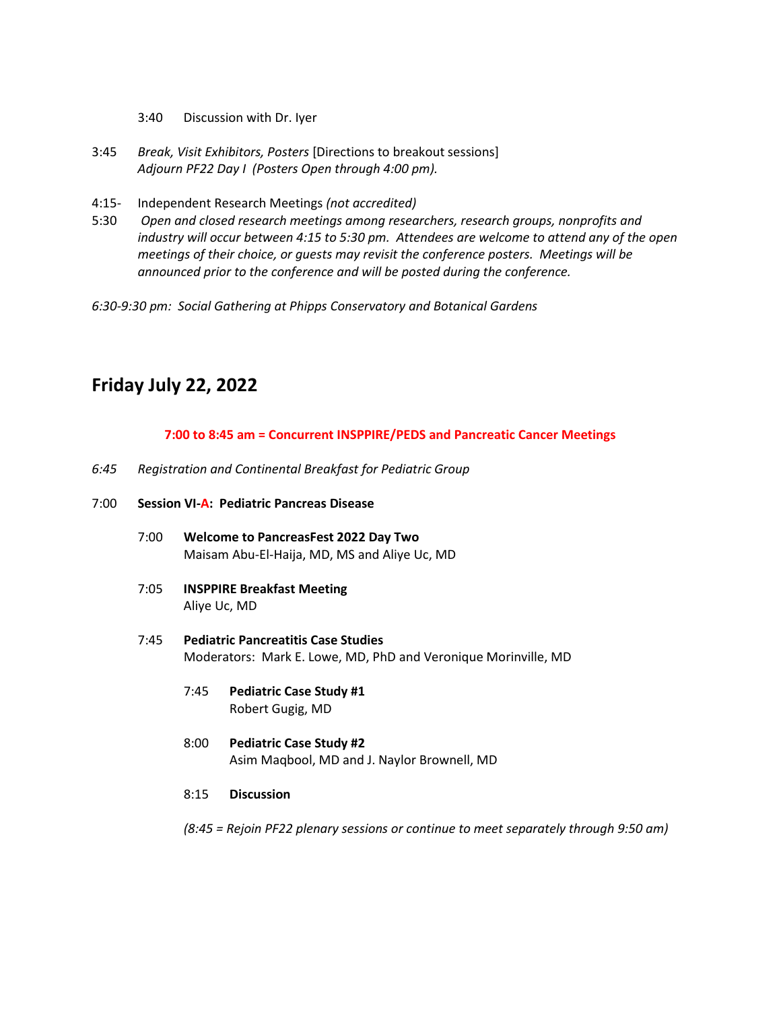- 3:40 Discussion with Dr. Iyer
- 3:45 *Break, Visit Exhibitors, Posters* [Directions to breakout sessions] *Adjourn PF22 Day I (Posters Open through 4:00 pm).*
- 4:15- Independent Research Meetings *(not accredited)*
- 5:30 *Open and closed research meetings among researchers, research groups, nonprofits and industry will occur between 4:15 to 5:30 pm. Attendees are welcome to attend any of the open meetings of their choice, or guests may revisit the conference posters. Meetings will be announced prior to the conference and will be posted during the conference.*
- *6:30-9:30 pm: Social Gathering at Phipps Conservatory and Botanical Gardens*

# **Friday July 22, 2022**

#### **7:00 to 8:45 am = Concurrent INSPPIRE/PEDS and Pancreatic Cancer Meetings**

*6:45 Registration and Continental Breakfast for Pediatric Group*

#### 7:00 **Session VI-A: Pediatric Pancreas Disease**

- 7:00 **Welcome to PancreasFest 2022 Day Two** Maisam Abu-El-Haija, MD, MS and Aliye Uc, MD
- 7:05 **INSPPIRE Breakfast Meeting** Aliye Uc, MD
- 7:45 **Pediatric Pancreatitis Case Studies** Moderators: Mark E. Lowe, MD, PhD and Veronique Morinville, MD
	- 7:45 **Pediatric Case Study #1** Robert Gugig, MD
	- 8:00 **Pediatric Case Study #2** Asim Maqbool, MD and J. Naylor Brownell, MD
	- 8:15 **Discussion**
	- *(8:45 = Rejoin PF22 plenary sessions or continue to meet separately through 9:50 am)*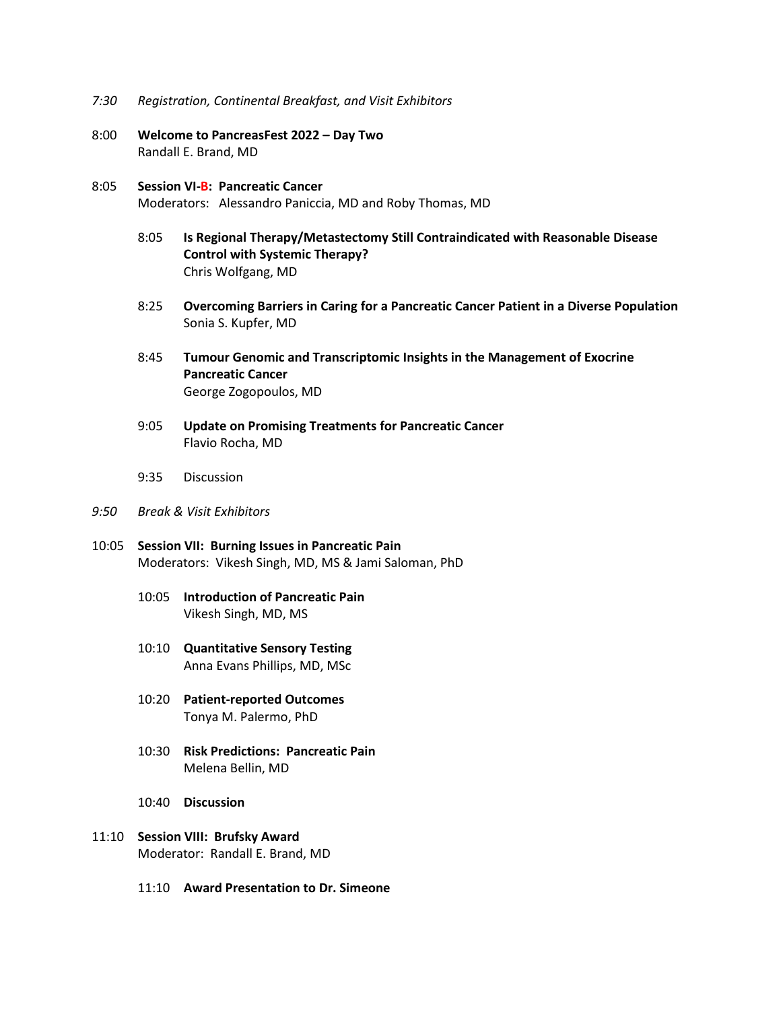- *7:30 Registration, Continental Breakfast, and Visit Exhibitors*
- 8:00 **Welcome to PancreasFest 2022 – Day Two** Randall E. Brand, MD
- 8:05 **Session VI-B: Pancreatic Cancer** Moderators: Alessandro Paniccia, MD and Roby Thomas, MD
	- 8:05 **Is Regional Therapy/Metastectomy Still Contraindicated with Reasonable Disease Control with Systemic Therapy?**  Chris Wolfgang, MD
	- 8:25 **Overcoming Barriers in Caring for a Pancreatic Cancer Patient in a Diverse Population** Sonia S. Kupfer, MD
	- 8:45 **Tumour Genomic and Transcriptomic Insights in the Management of Exocrine Pancreatic Cancer** George Zogopoulos, MD
	- 9:05 **Update on Promising Treatments for Pancreatic Cancer** Flavio Rocha, MD
	- 9:35 Discussion

#### *9:50 Break & Visit Exhibitors*

- 10:05 **Session VII: Burning Issues in Pancreatic Pain** Moderators: Vikesh Singh, MD, MS & Jami Saloman, PhD
	- 10:05 **Introduction of Pancreatic Pain** Vikesh Singh, MD, MS
	- 10:10 **Quantitative Sensory Testing** Anna Evans Phillips, MD, MSc
	- 10:20 **Patient-reported Outcomes** Tonya M. Palermo, PhD
	- 10:30 **Risk Predictions: Pancreatic Pain** Melena Bellin, MD
	- 10:40 **Discussion**
- 11:10 **Session VIII: Brufsky Award** Moderator: Randall E. Brand, MD
	- 11:10 **Award Presentation to Dr. Simeone**